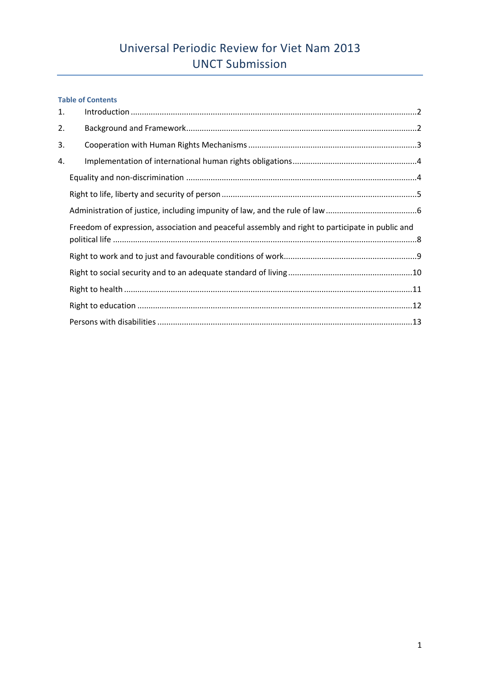# **Table of Contents**

| 1. |                                                                                                 |
|----|-------------------------------------------------------------------------------------------------|
| 2. |                                                                                                 |
| 3. |                                                                                                 |
| 4. |                                                                                                 |
|    |                                                                                                 |
|    |                                                                                                 |
|    |                                                                                                 |
|    | Freedom of expression, association and peaceful assembly and right to participate in public and |
|    |                                                                                                 |
|    |                                                                                                 |
|    |                                                                                                 |
|    |                                                                                                 |
|    |                                                                                                 |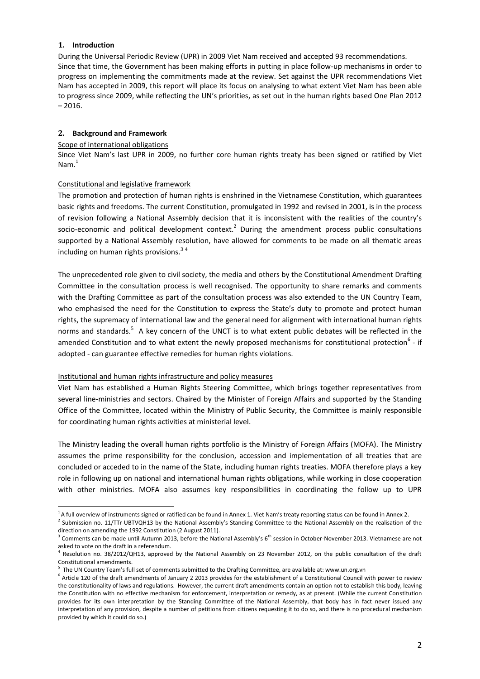### **1. Introduction**

.

During the Universal Periodic Review (UPR) in 2009 Viet Nam received and accepted 93 recommendations. Since that time, the Government has been making efforts in putting in place follow-up mechanisms in order to progress on implementing the commitments made at the review. Set against the UPR recommendations Viet Nam has accepted in 2009, this report will place its focus on analysing to what extent Viet Nam has been able to progress since 2009, while reflecting the UN's priorities, as set out in the human rights based One Plan 2012 – 2016.

# **2. Background and Framework**

### Scope of international obligations

Since Viet Nam's last UPR in 2009, no further core human rights treaty has been signed or ratified by Viet Nam. 1

### Constitutional and legislative framework

The promotion and protection of human rights is enshrined in the Vietnamese Constitution, which guarantees basic rights and freedoms. The current Constitution, promulgated in 1992 and revised in 2001, is in the process of revision following a National Assembly decision that it is inconsistent with the realities of the country's socio-economic and political development context.<sup>2</sup> During the amendment process public consultations supported by a National Assembly resolution, have allowed for comments to be made on all thematic areas including on human rights provisions. $34$ 

The unprecedented role given to civil society, the media and others by the Constitutional Amendment Drafting Committee in the consultation process is well recognised. The opportunity to share remarks and comments with the Drafting Committee as part of the consultation process was also extended to the UN Country Team, who emphasised the need for the Constitution to express the State's duty to promote and protect human rights, the supremacy of international law and the general need for alignment with international human rights norms and standards.<sup>5</sup> A key concern of the UNCT is to what extent public debates will be reflected in the amended Constitution and to what extent the newly proposed mechanisms for constitutional protection<sup>6</sup> - if adopted - can guarantee effective remedies for human rights violations.

### Institutional and human rights infrastructure and policy measures

Viet Nam has established a Human Rights Steering Committee, which brings together representatives from several line-ministries and sectors. Chaired by the Minister of Foreign Affairs and supported by the Standing Office of the Committee, located within the Ministry of Public Security, the Committee is mainly responsible for coordinating human rights activities at ministerial level.

The Ministry leading the overall human rights portfolio is the Ministry of Foreign Affairs (MOFA). The Ministry assumes the prime responsibility for the conclusion, accession and implementation of all treaties that are concluded or acceded to in the name of the State, including human rights treaties. MOFA therefore plays a key role in following up on national and international human rights obligations, while working in close cooperation with other ministries. MOFA also assumes key responsibilities in coordinating the follow up to UPR

<sup>&</sup>lt;sup>1</sup>A full overview of instruments signed or ratified can be found in Annex 1. Viet Nam's treaty reporting status can be found in Annex 2.

<sup>&</sup>lt;sup>2</sup> Submission no. 11/TTr-UBTVQH13 by the National Assembly's Standing Committee to the National Assembly on the realisation of the direction on amending the 1992 Constitution (2 August 2011).

 $3$  Comments can be made until Autumn 2013, before the National Assembly's 6<sup>th</sup> session in October-November 2013. Vietnamese are not asked to vote on the draft in a referendum.

<sup>4</sup> Resolution no. 38/2012/QH13, approved by the National Assembly on 23 November 2012, on the public consultation of the draft Constitutional amendments.

<sup>5</sup> The UN Country Team's full set of comments submitted to the Drafting Committee, are available at: www.un.org.vn

<sup>&</sup>lt;sup>6</sup> Article 120 of the draft amendments of January 2 2013 provides for the establishment of a Constitutional Council with power to review the constitutionality of laws and regulations. However, the current draft amendments contain an option not to establish this body, leaving the Constitution with no effective mechanism for enforcement, interpretation or remedy, as at present. (While the current Constitution provides for its own interpretation by the Standing Committee of the National Assembly, that body has in fact never issued any interpretation of any provision, despite a number of petitions from citizens requesting it to do so, and there is no procedural mechanism provided by which it could do so.)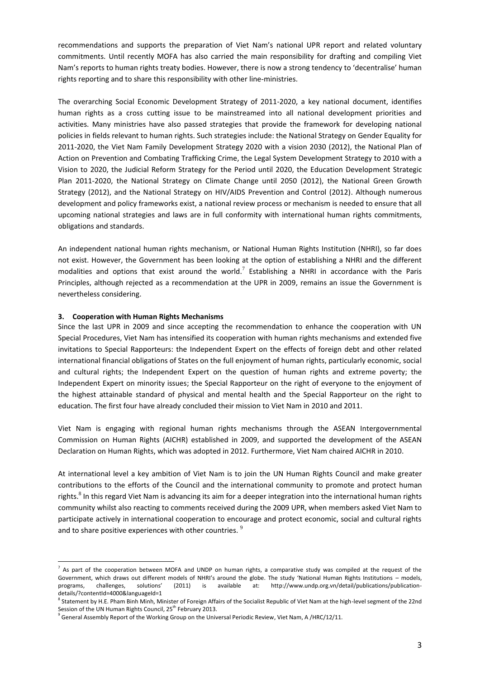recommendations and supports the preparation of Viet Nam's national UPR report and related voluntary commitments. Until recently MOFA has also carried the main responsibility for drafting and compiling Viet Nam's reports to human rights treaty bodies. However, there is now a strong tendency to 'decentralise' human rights reporting and to share this responsibility with other line-ministries.

The overarching Social Economic Development Strategy of 2011-2020, a key national document, identifies human rights as a cross cutting issue to be mainstreamed into all national development priorities and activities. Many ministries have also passed strategies that provide the framework for developing national policies in fields relevant to human rights. Such strategies include: the National Strategy on Gender Equality for 2011-2020, the Viet Nam Family Development Strategy 2020 with a vision 2030 (2012), the National Plan of Action on Prevention and Combating Trafficking Crime, the Legal System Development Strategy to 2010 with a Vision to 2020, the Judicial Reform Strategy for the Period until 2020, the Education Development Strategic Plan 2011-2020, the National Strategy on Climate Change until 2050 (2012), the National Green Growth Strategy (2012), and the National Strategy on HIV/AIDS Prevention and Control (2012). Although numerous development and policy frameworks exist, a national review process or mechanism is needed to ensure that all upcoming national strategies and laws are in full conformity with international human rights commitments, obligations and standards.

An independent national human rights mechanism, or National Human Rights Institution (NHRI), so far does not exist. However, the Government has been looking at the option of establishing a NHRI and the different modalities and options that exist around the world.<sup>7</sup> Establishing a NHRI in accordance with the Paris Principles, although rejected as a recommendation at the UPR in 2009, remains an issue the Government is nevertheless considering.

### **3. Cooperation with Human Rights Mechanisms**

1

Since the last UPR in 2009 and since accepting the recommendation to enhance the cooperation with UN Special Procedures, Viet Nam has intensified its cooperation with human rights mechanisms and extended five invitations to Special Rapporteurs: the Independent Expert on the effects of foreign debt and other related international financial obligations of States on the full enjoyment of human rights, particularly economic, social and cultural rights; the Independent Expert on the question of human rights and extreme poverty; the Independent Expert on minority issues; the Special Rapporteur on the right of everyone to the enjoyment of the highest attainable standard of physical and mental health and the Special Rapporteur on the right to education. The first four have already concluded their mission to Viet Nam in 2010 and 2011.

Viet Nam is engaging with regional human rights mechanisms through the ASEAN Intergovernmental Commission on Human Rights (AICHR) established in 2009, and supported the development of the ASEAN Declaration on Human Rights, which was adopted in 2012. Furthermore, Viet Nam chaired AICHR in 2010.

At international level a key ambition of Viet Nam is to join the UN Human Rights Council and make greater contributions to the efforts of the Council and the international community to promote and protect human rights.<sup>8</sup> In this regard Viet Nam is advancing its aim for a deeper integration into the international human rights community whilst also reacting to comments received during the 2009 UPR, when members asked Viet Nam to participate actively in international cooperation to encourage and protect economic, social and cultural rights and to share positive experiences with other countries.  $^{9}$ 

 $^7$  As part of the cooperation between MOFA and UNDP on human rights, a comparative study was compiled at the request of the Government, which draws out different models of NHRI's around the globe. The study 'National Human Rights Institutions – models, programs, challenges, solutions' (2011) is available at: http://www.undp.org.vn/detail/publications/publicationdetails/?contentId=4000&languageId=1

<sup>&</sup>lt;sup>8</sup> Statement by H.E. Pham Binh Minh, Minister of Foreign Affairs of the Socialist Republic of Viet Nam at the high-level segment of the 22nd Session of the UN Human Rights Council, 25<sup>th</sup> February 2013.

<sup>&</sup>lt;sup>9</sup> General Assembly Report of the Working Group on the Universal Periodic Review, Viet Nam, A /HRC/12/11.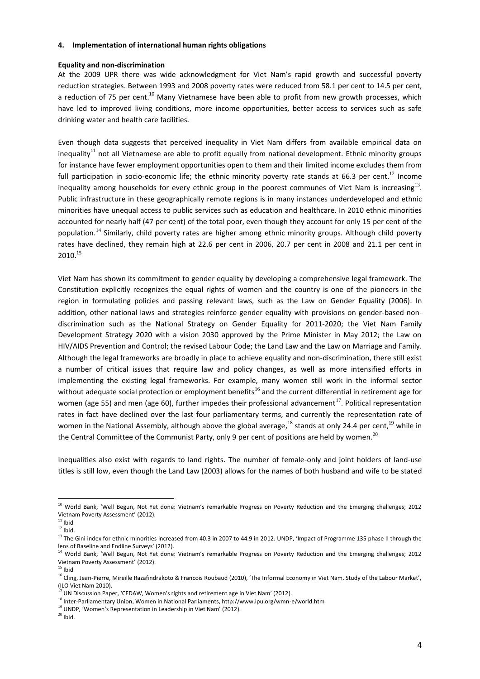#### **4. Implementation of international human rights obligations**

#### **Equality and non-discrimination**

At the 2009 UPR there was wide acknowledgment for Viet Nam's rapid growth and successful poverty reduction strategies. Between 1993 and 2008 poverty rates were reduced from 58.1 per cent to 14.5 per cent, a reduction of 75 per cent.<sup>10</sup> Many Vietnamese have been able to profit from new growth processes, which have led to improved living conditions, more income opportunities, better access to services such as safe drinking water and health care facilities.

Even though data suggests that perceived inequality in Viet Nam differs from available empirical data on inequality $11$  not all Vietnamese are able to profit equally from national development. Ethnic minority groups for instance have fewer employment opportunities open to them and their limited income excludes them from full participation in socio-economic life; the ethnic minority poverty rate stands at 66.3 per cent.<sup>12</sup> Income inequality among households for every ethnic group in the poorest communes of Viet Nam is increasing<sup>13</sup>. Public infrastructure in these geographically remote regions is in many instances underdeveloped and ethnic minorities have unequal access to public services such as education and healthcare. In 2010 ethnic minorities accounted for nearly half (47 per cent) of the total poor, even though they account for only 15 per cent of the population.<sup>14</sup> Similarly, child poverty rates are higher among ethnic minority groups. Although child poverty rates have declined, they remain high at 22.6 per cent in 2006, 20.7 per cent in 2008 and 21.1 per cent in 2010. 15

Viet Nam has shown its commitment to gender equality by developing a comprehensive legal framework. The Constitution explicitly recognizes the equal rights of women and the country is one of the pioneers in the region in formulating policies and passing relevant laws, such as the Law on Gender Equality (2006). In addition, other national laws and strategies reinforce gender equality with provisions on gender-based nondiscrimination such as the National Strategy on Gender Equality for 2011-2020; the Viet Nam Family Development Strategy 2020 with a vision 2030 approved by the Prime Minister in May 2012; the Law on HIV/AIDS Prevention and Control; the revised Labour Code; the Land Law and the Law on Marriage and Family. Although the legal frameworks are broadly in place to achieve equality and non-discrimination, there still exist a number of critical issues that require law and policy changes, as well as more intensified efforts in implementing the existing legal frameworks. For example, many women still work in the informal sector without adequate social protection or employment benefits<sup>16</sup> and the current differential in retirement age for women (age 55) and men (age 60), further impedes their professional advancement<sup>17</sup>. Political representation rates in fact have declined over the last four parliamentary terms, and currently the representation rate of women in the National Assembly, although above the global average,<sup>18</sup> stands at only 24.4 per cent,<sup>19</sup> while in the Central Committee of the Communist Party, only 9 per cent of positions are held by women.<sup>20</sup>

Inequalities also exist with regards to land rights. The number of female-only and joint holders of land-use titles is still low, even though the Land Law (2003) allows for the names of both husband and wife to be stated

.

<sup>&</sup>lt;sup>10</sup> World Bank, 'Well Begun, Not Yet done: Vietnam's remarkable Progress on Poverty Reduction and the Emerging challenges; 2012 Vietnam Poverty Assessment' (2012).

 $^{\rm 11}$ lbid  $12$  Ibid.

<sup>&</sup>lt;sup>13</sup> The Gini index for ethnic minorities increased from 40.3 in 2007 to 44.9 in 2012. UNDP, 'Impact of Programme 135 phase II through the lens of Baseline and Endline Surveys' (2012).

<sup>&</sup>lt;sup>14</sup> World Bank, 'Well Begun, Not Yet done: Vietnam's remarkable Progress on Poverty Reduction and the Emerging challenges; 2012 Vietnam Poverty Assessment' (2012).

 $^{15}$ lbid

<sup>&</sup>lt;sup>16</sup> Cling, Jean-Pierre, Mireille Razafindrakoto & Francois Roubaud (2010), 'The Informal Economy in Viet Nam. Study of the Labour Market', (ILO Viet Nam 2010).

 $^{17}$  UN Discussion Paper, 'CEDAW, Women's rights and retirement age in Viet Nam' (2012).

<sup>18</sup> Inter-Parliamentary Union, Women in National Parliaments, http://www.ipu.org/wmn-e/world.htm

<sup>19</sup> UNDP, 'Women's Representation in Leadership in Viet Nam' (2012).

 $20$  Ibid.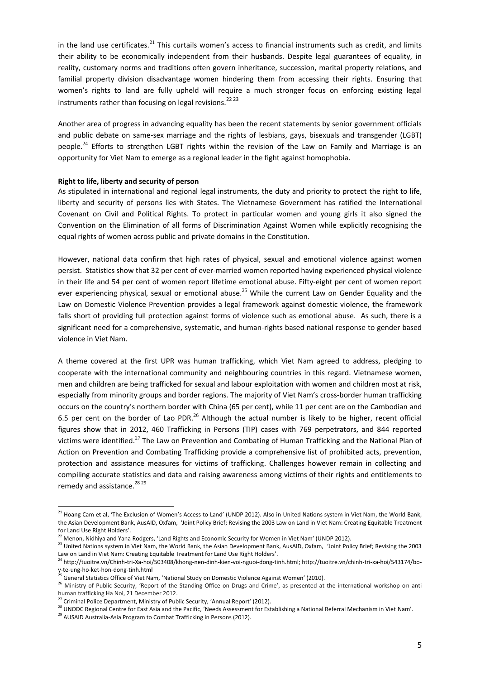in the land use certificates.<sup>21</sup> This curtails women's access to financial instruments such as credit, and limits their ability to be economically independent from their husbands. Despite legal guarantees of equality, in reality, customary norms and traditions often govern inheritance, succession, marital property relations, and familial property division disadvantage women hindering them from accessing their rights. Ensuring that women's rights to land are fully upheld will require a much stronger focus on enforcing existing legal instruments rather than focusing on legal revisions.<sup>2223</sup>

Another area of progress in advancing equality has been the recent statements by senior government officials and public debate on same-sex marriage and the rights of lesbians, gays, bisexuals and transgender (LGBT) people.<sup>24</sup> Efforts to strengthen LGBT rights within the revision of the Law on Family and Marriage is an opportunity for Viet Nam to emerge as a regional leader in the fight against homophobia.

### **Right to life, liberty and security of person**

As stipulated in international and regional legal instruments, the duty and priority to protect the right to life, liberty and security of persons lies with States. The Vietnamese Government has ratified the International Covenant on Civil and Political Rights. To protect in particular women and young girls it also signed the Convention on the Elimination of all forms of Discrimination Against Women while explicitly recognising the equal rights of women across public and private domains in the Constitution.

However, national data confirm that high rates of physical, sexual and emotional violence against women persist. Statistics show that 32 per cent of ever-married women reported having experienced physical violence in their life and 54 per cent of women report lifetime emotional abuse. Fifty-eight per cent of women report ever experiencing physical, sexual or emotional abuse.<sup>25</sup> While the current Law on Gender Equality and the Law on Domestic Violence Prevention provides a legal framework against domestic violence, the framework falls short of providing full protection against forms of violence such as emotional abuse. As such, there is a significant need for a comprehensive, systematic, and human-rights based national response to gender based violence in Viet Nam.

A theme covered at the first UPR was human trafficking, which Viet Nam agreed to address, pledging to cooperate with the international community and neighbouring countries in this regard. Vietnamese women, men and children are being trafficked for sexual and labour exploitation with women and children most at risk, especially from minority groups and border regions. The majority of Viet Nam's cross-border human trafficking occurs on the country's northern border with China (65 per cent), while 11 per cent are on the Cambodian and 6.5 per cent on the border of Lao PDR. $^{26}$  Although the actual number is likely to be higher, recent official figures show that in 2012, 460 Trafficking in Persons (TIP) cases with 769 perpetrators, and 844 reported victims were identified.<sup>27</sup> The Law on Prevention and Combating of Human Trafficking and the National Plan of Action on Prevention and Combating Trafficking provide a comprehensive list of prohibited acts, prevention, protection and assistance measures for victims of trafficking. Challenges however remain in collecting and compiling accurate statistics and data and raising awareness among victims of their rights and entitlements to remedy and assistance.<sup>28</sup><sup>29</sup>

.

<sup>&</sup>lt;sup>21</sup> Hoang Cam et al, 'The Exclusion of Women's Access to Land' (UNDP 2012). Also in United Nations system in Viet Nam, the World Bank, the Asian Development Bank, AusAID, Oxfam, 'Joint Policy Brief; Revising the 2003 Law on Land in Viet Nam: Creating Equitable Treatment for Land Use Right Holders'.

<sup>22</sup> Menon, Nidhiya and Yana Rodgers, 'Land Rights and Economic Security for Women in Viet Nam' (UNDP 2012).

<sup>&</sup>lt;sup>23</sup> United Nations system in Viet Nam, the World Bank, the Asian Development Bank, AusAID, Oxfam, 'Joint Policy Brief; Revising the 2003 Law on Land in Viet Nam: Creating Equitable Treatment for Land Use Right Holders'.

<sup>24</sup> http://tuoitre.vn/Chinh-tri-Xa-hoi/503408/khong-nen-dinh-kien-voi-nguoi-dong-tinh.html; http://tuoitre.vn/chinh-tri-xa-hoi/543174/boy-te-ung-ho-ket-hon-dong-tinh.html

<sup>&</sup>lt;sup>25</sup> General Statistics Office of Viet Nam, 'National Study on Domestic Violence Against Women' (2010).

<sup>&</sup>lt;sup>26</sup> Ministry of Public Security, 'Report of the Standing Office on Drugs and Crime', as presented at the international workshop on anti human trafficking Ha Noi, 21 December 2012.

<sup>&</sup>lt;sup>27</sup> Criminal Police Department, Ministry of Public Security, 'Annual Report' (2012).

<sup>28</sup> UNODC Regional Centre for East Asia and the Pacific, 'Needs Assessment for Establishing a National Referral Mechanism in Viet Nam'.

<sup>&</sup>lt;sup>29</sup> AUSAID Australia-Asia Program to Combat Trafficking in Persons (2012).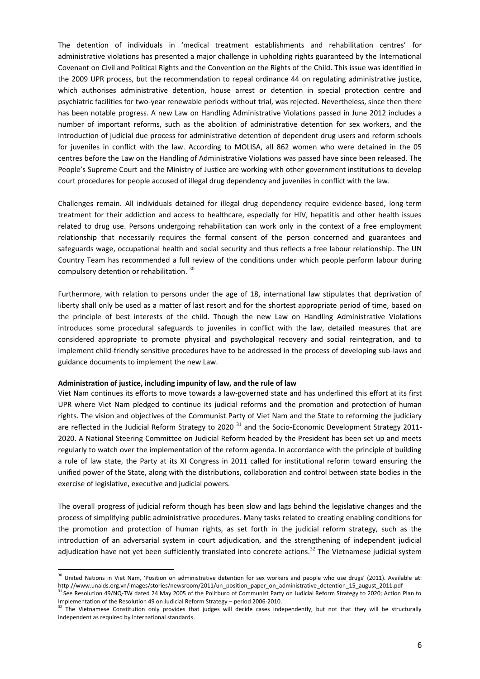The detention of individuals in 'medical treatment establishments and rehabilitation centres' for administrative violations has presented a major challenge in upholding rights guaranteed by the International Covenant on Civil and Political Rights and the Convention on the Rights of the Child. This issue was identified in the 2009 UPR process, but the recommendation to repeal ordinance 44 on regulating administrative justice, which authorises administrative detention, house arrest or detention in special protection centre and psychiatric facilities for two-year renewable periods without trial, was rejected. Nevertheless, since then there has been notable progress. A new Law on Handling Administrative Violations passed in June 2012 includes a number of important reforms, such as the abolition of administrative detention for sex workers, and the introduction of judicial due process for administrative detention of dependent drug users and reform schools for juveniles in conflict with the law. According to MOLISA, all 862 women who were detained in the 05 centres before the Law on the Handling of Administrative Violations was passed have since been released. The People's Supreme Court and the Ministry of Justice are working with other government institutions to develop court procedures for people accused of illegal drug dependency and juveniles in conflict with the law.

Challenges remain. All individuals detained for illegal drug dependency require evidence-based, long-term treatment for their addiction and access to healthcare, especially for HIV, hepatitis and other health issues related to drug use. Persons undergoing rehabilitation can work only in the context of a free employment relationship that necessarily requires the formal consent of the person concerned and guarantees and safeguards wage, occupational health and social security and thus reflects a free labour relationship. The UN Country Team has recommended a full review of the conditions under which people perform labour during compulsory detention or rehabilitation. <sup>30</sup>

Furthermore, with relation to persons under the age of 18, international law stipulates that deprivation of liberty shall only be used as a matter of last resort and for the shortest appropriate period of time, based on the principle of best interests of the child. Though the new Law on Handling Administrative Violations introduces some procedural safeguards to juveniles in conflict with the law, detailed measures that are considered appropriate to promote physical and psychological recovery and social reintegration, and to implement child-friendly sensitive procedures have to be addressed in the process of developing sub-laws and guidance documents to implement the new Law.

#### **Administration of justice, including impunity of law, and the rule of law**

1

Viet Nam continues its efforts to move towards a law-governed state and has underlined this effort at its first UPR where Viet Nam pledged to continue its judicial reforms and the promotion and protection of human rights. The vision and objectives of the Communist Party of Viet Nam and the State to reforming the judiciary are reflected in the Judicial Reform Strategy to 2020  $31$  and the Socio-Economic Development Strategy 2011-2020. A National Steering Committee on Judicial Reform headed by the President has been set up and meets regularly to watch over the implementation of the reform agenda. In accordance with the principle of building a rule of law state, the Party at its XI Congress in 2011 called for institutional reform toward ensuring the unified power of the State, along with the distributions, collaboration and control between state bodies in the exercise of legislative, executive and judicial powers.

The overall progress of judicial reform though has been slow and lags behind the legislative changes and the process of simplifying public administrative procedures. Many tasks related to creating enabling conditions for the promotion and protection of human rights, as set forth in the judicial reform strategy, such as the introduction of an adversarial system in court adjudication, and the strengthening of independent judicial adjudication have not yet been sufficiently translated into concrete actions.<sup>32</sup> The Vietnamese judicial system

<sup>&</sup>lt;sup>30</sup> United Nations in Viet Nam, 'Position on administrative detention for sex workers and people who use drugs' (2011). Available at: http://www.unaids.org.vn/images/stories/newsroom/2011/un\_position\_paper\_on\_administrative\_detention\_15\_august\_2011.pdf

<sup>&</sup>lt;sup>31</sup> See Resolution 49/NQ-TW dated 24 May 2005 of the Politburo of Communist Party on Judicial Reform Strategy to 2020; Action Plan to Implementation of the Resolution 49 on Judicial Reform Strategy – period 2006-2010.

 $32$  The Vietnamese Constitution only provides that judges will decide cases independently, but not that they will be structurally independent as required by international standards.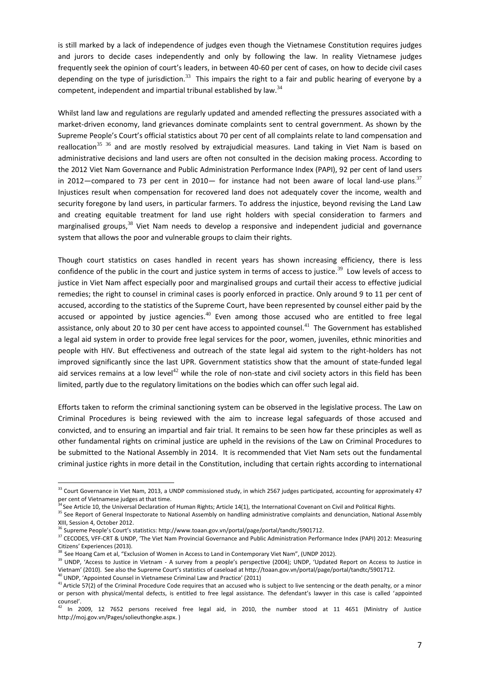is still marked by a lack of independence of judges even though the Vietnamese Constitution requires judges and jurors to decide cases independently and only by following the law. In reality Vietnamese judges frequently seek the opinion of court's leaders, in between 40-60 per cent of cases, on how to decide civil cases depending on the type of jurisdiction.<sup>33</sup> This impairs the right to a fair and public hearing of everyone by a competent, independent and impartial tribunal established by law.<sup>34</sup>

Whilst land law and regulations are regularly updated and amended reflecting the pressures associated with a market-driven economy, land grievances dominate complaints sent to central government. As shown by the Supreme People's Court's official statistics about 70 per cent of all complaints relate to land compensation and reallocation<sup>35 36</sup> and are mostly resolved by extraiudicial measures. Land taking in Viet Nam is based on administrative decisions and land users are often not consulted in the decision making process. According to the 2012 Viet Nam Governance and Public Administration Performance Index (PAPI), 92 per cent of land users in 2012—compared to 73 per cent in 2010— for instance had not been aware of local land-use plans.<sup>37</sup> Injustices result when compensation for recovered land does not adequately cover the income, wealth and security foregone by land users, in particular farmers. To address the injustice, beyond revising the Land Law and creating equitable treatment for land use right holders with special consideration to farmers and marginalised groups,<sup>38</sup> Viet Nam needs to develop a responsive and independent judicial and governance system that allows the poor and vulnerable groups to claim their rights.

Though court statistics on cases handled in recent years has shown increasing efficiency, there is less confidence of the public in the court and justice system in terms of access to justice.<sup>39</sup> Low levels of access to justice in Viet Nam affect especially poor and marginalised groups and curtail their access to effective judicial remedies; the right to counsel in criminal cases is poorly enforced in practice. Only around 9 to 11 per cent of accused, according to the statistics of the Supreme Court, have been represented by counsel either paid by the accused or appointed by justice agencies.<sup>40</sup> Even among those accused who are entitled to free legal assistance, only about 20 to 30 per cent have access to appointed counsel.<sup>41</sup> The Government has established a legal aid system in order to provide free legal services for the poor, women, juveniles, ethnic minorities and people with HIV. But effectiveness and outreach of the state legal aid system to the right-holders has not improved significantly since the last UPR. Government statistics show that the amount of state-funded legal aid services remains at a low level<sup>42</sup> while the role of non-state and civil society actors in this field has been limited, partly due to the regulatory limitations on the bodies which can offer such legal aid.

Efforts taken to reform the criminal sanctioning system can be observed in the legislative process. The Law on Criminal Procedures is being reviewed with the aim to increase legal safeguards of those accused and convicted, and to ensuring an impartial and fair trial. It remains to be seen how far these principles as well as other fundamental rights on criminal justice are upheld in the revisions of the Law on Criminal Procedures to be submitted to the National Assembly in 2014. It is recommended that Viet Nam sets out the fundamental criminal justice rights in more detail in the Constitution, including that certain rights according to international

 $40$  UNDP, 'Appointed Counsel in Vietnamese Criminal Law and Practice' (2011)

 $33$  Court Governance in Viet Nam, 2013, a UNDP commissioned study, in which 2567 judges participated, accounting for approximately 47 per cent of Vietnamese judges at that time.

 $34$  See Article 10, the Universal Declaration of Human Rights; Article 14(1), the International Covenant on Civil and Political Rights.

<sup>&</sup>lt;sup>35</sup> See Report of General Inspectorate to National Assembly on handling administrative complaints and denunciation, National Assembly XIII, Session 4, October 2012.

<sup>&</sup>lt;sup>6</sup> Supreme People's Court's statistics[: http://www.toaan.gov.vn/portal/page/portal/tandtc/5901712.](http://www.toaan.gov.vn/portal/page/portal/tandtc/5901712)

<sup>&</sup>lt;sup>37</sup> CECODES, VFF-CRT & UNDP, 'The Viet Nam Provincial Governance and Public Administration Performance Index (PAPI) 2012: Measuring Citizens' Experiences (2013).

<sup>&</sup>lt;sup>38</sup> See Hoang Cam et al, "Exclusion of Women in Access to Land in Contemporary Viet Nam", (UNDP 2012).

<sup>&</sup>lt;sup>39</sup> UNDP, 'Access to Justice in Vietnam - A survey from a people's perspective (2004); UNDP, 'Updated Report on Access to Justice in Vietnam' (2010). See also the Supreme Court's statistics of caseload at http://toaan.gov.vn/portal/page/portal/tandtc/5901712.

 $41$  Article 57(2) of the Criminal Procedure Code requires that an accused who is subject to live sentencing or the death penalty, or a minor or person with physical/mental defects, is entitled to free legal assistance. The defendant's lawyer in this case is called 'appointed counsel'.

 $42$  In 2009, 12 7652 persons received free legal aid, in 2010, the number stood at 11 4651 (Ministry of Justice http://moj.gov.vn/Pages/solieuthongke.aspx. )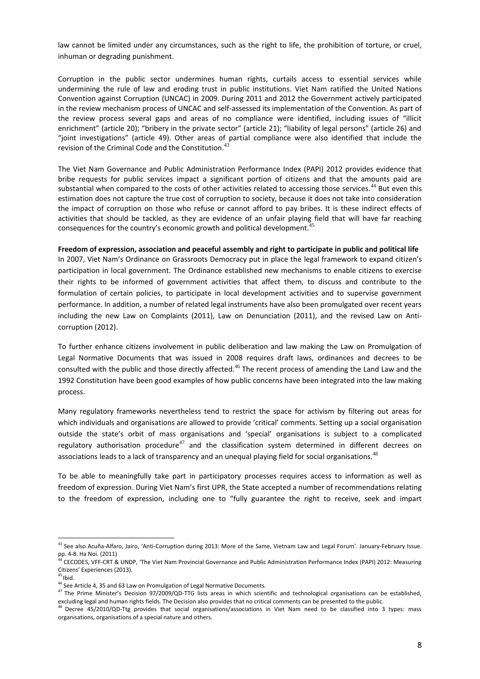law cannot be limited under any circumstances, such as the right to life, the prohibition of torture, or cruel, inhuman or degrading punishment.

Corruption in the public sector undermines human rights, curtails access to essential services while undermining the rule of law and eroding trust in public institutions. Viet Nam ratified the United Nations Convention against Corruption (UNCAC) in 2009. During 2011 and 2012 the Government actively participated in the review mechanism process of UNCAC and self-assessed its implementation of the Convention. As part of the review process several gaps and areas of no compliance were identified, including issues of "illicit enrichment" (article 20); "bribery in the private sector" (article 21); "liability of legal persons" (article 26) and "joint investigations" (article 49). Other areas of partial compliance were also identified that include the revision of the Criminal Code and the Constitution.<sup>43</sup>

The Viet Nam Governance and Public Administration Performance Index (PAPI) 2012 provides evidence that bribe requests for public services impact a significant portion of citizens and that the amounts paid are substantial when compared to the costs of other activities related to accessing those services.<sup>44</sup> But even this estimation does not capture the true cost of corruption to society, because it does not take into consideration the impact of corruption on those who refuse or cannot afford to pay bribes. It is these indirect effects of activities that should be tackled, as they are evidence of an unfair playing field that will have far reaching consequences for the country's economic growth and political development.<sup>4</sup>

#### **Freedom of expression, association and peaceful assembly and right to participate in public and political life**

In 2007, Viet Nam's Ordinance on Grassroots Democracy put in place the legal framework to expand citizen's participation in local government. The Ordinance established new mechanisms to enable citizens to exercise their rights to be informed of government activities that affect them, to discuss and contribute to the formulation of certain policies, to participate in local development activities and to supervise government performance. In addition, a number of related legal instruments have also been promulgated over recent years including the new Law on Complaints (2011), Law on Denunciation (2011), and the revised Law on Anticorruption (2012).

To further enhance citizens involvement in public deliberation and law making the Law on Promulgation of Legal Normative Documents that was issued in 2008 requires draft laws, ordinances and decrees to be consulted with the public and those directly affected.<sup>46</sup> The recent process of amending the Land Law and the 1992 Constitution have been good examples of how public concerns have been integrated into the law making process.

Many regulatory frameworks nevertheless tend to restrict the space for activism by filtering out areas for which individuals and organisations are allowed to provide 'critical' comments. Setting up a social organisation outside the state's orbit of mass organisations and 'special' organisations is subject to a complicated regulatory authorisation procedure<sup>47</sup> and the classification system determined in different decrees on associations leads to a lack of transparency and an unequal playing field for social organisations.<sup>48</sup>

To be able to meaningfully take part in participatory processes requires access to information as well as freedom of expression. During Viet Nam's first UPR, the State accepted a number of recommendations relating to the freedom of expression, including one to "fully guarantee the right to receive, seek and impart

<sup>&</sup>lt;sup>43</sup> See also Acuña-Alfaro, Jairo, 'Anti-Corruption during 2013: More of the Same, Vietnam Law and Legal Forum'. January-February Issue. pp. 4-8. Ha Noi. (2011)

<sup>&</sup>lt;sup>4</sup> CECODES, VFF-CRT & UNDP, 'The Viet Nam Provincial Governance and Public Administration Performance Index (PAPI) 2012: Measuring Citizens' Experiences (2013).

 $45$  Ibid.

 $46$  See Article 4, 35 and 63 Law on Promulgation of Legal Normative Documents.

 $47$  The Prime Minister's Decision 97/2009/QD-TTG lists areas in which scientific and technological organisations can be established, excluding legal and human rights fields. The Decision also provides that no critical comments can be presented to the public.

<sup>&</sup>lt;sup>48</sup> Decree 45/2010/QD-Ttg provides that social organisations/associations in Viet Nam need to be classified into 3 types: mass organisations, organisations of a special nature and others.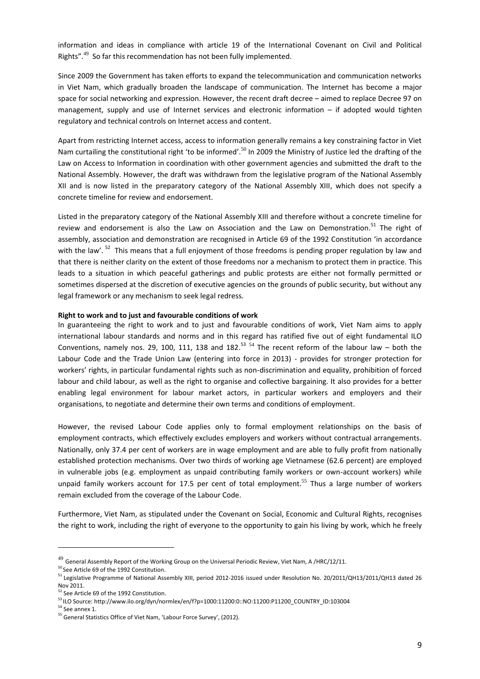information and ideas in compliance with article 19 of the International Covenant on Civil and Political Rights".<sup>49</sup> So far this recommendation has not been fully implemented.

Since 2009 the Government has taken efforts to expand the telecommunication and communication networks in Viet Nam, which gradually broaden the landscape of communication. The Internet has become a major space for social networking and expression. However, the recent draft decree – aimed to replace Decree 97 on management, supply and use of Internet services and electronic information – if adopted would tighten regulatory and technical controls on Internet access and content.

Apart from restricting Internet access, access to information generally remains a key constraining factor in Viet Nam curtailing the constitutional right 'to be informed'.<sup>50</sup> In 2009 the Ministry of Justice led the drafting of the Law on Access to Information in coordination with other government agencies and submitted the draft to the National Assembly. However, the draft was withdrawn from the legislative program of the National Assembly XII and is now listed in the preparatory category of the National Assembly XIII, which does not specify a concrete timeline for review and endorsement.

Listed in the preparatory category of the National Assembly XIII and therefore without a concrete timeline for review and endorsement is also the Law on Association and the Law on Demonstration.<sup>51</sup> The right of assembly, association and demonstration are recognised in Article 69 of the 1992 Constitution 'in accordance with the law'. <sup>52</sup> This means that a full enjoyment of those freedoms is pending proper regulation by law and that there is neither clarity on the extent of those freedoms nor a mechanism to protect them in practice. This leads to a situation in which peaceful gatherings and public protests are either not formally permitted or sometimes dispersed at the discretion of executive agencies on the grounds of public security, but without any legal framework or any mechanism to seek legal redress.

#### **Right to work and to just and favourable conditions of work**

In guaranteeing the right to work and to just and favourable conditions of work, Viet Nam aims to apply international labour standards and norms and in this regard has ratified five out of eight fundamental ILO Conventions, namely nos. 29, 100, 111, 138 and 182. $^{53}$   $^{54}$  The recent reform of the labour law – both the Labour Code and the Trade Union Law (entering into force in 2013) - provides for stronger protection for workers' rights, in particular fundamental rights such as non-discrimination and equality, prohibition of forced labour and child labour, as well as the right to organise and collective bargaining. It also provides for a better enabling legal environment for labour market actors, in particular workers and employers and their organisations, to negotiate and determine their own terms and conditions of employment.

However, the revised Labour Code applies only to formal employment relationships on the basis of employment contracts, which effectively excludes employers and workers without contractual arrangements. Nationally, only 37.4 per cent of workers are in wage employment and are able to fully profit from nationally established protection mechanisms. Over two thirds of working age Vietnamese (62.6 percent) are employed in vulnerable jobs (e.g. employment as unpaid contributing family workers or own-account workers) while unpaid family workers account for 17.5 per cent of total employment.<sup>55</sup> Thus a large number of workers remain excluded from the coverage of the Labour Code.

Furthermore, Viet Nam, as stipulated under the Covenant on Social, Economic and Cultural Rights, recognises the right to work, including the right of everyone to the opportunity to gain his living by work, which he freely

 $^{49}$  General Assembly Report of the Working Group on the Universal Periodic Review, Viet Nam, A /HRC/12/11.

<sup>&</sup>lt;sup>50</sup> See Article 69 of the 1992 Constitution.

<sup>51</sup> Legislative Programme of National Assembly XIII, period 2012-2016 issued under Resolution No. 20/2011/QH13/2011/QH13 dated 26 Nov 2011.

<sup>&</sup>lt;sup>52</sup> See Article 69 of the 1992 Constitution.

<sup>53</sup> ILO Source: http://www.ilo.org/dyn/normlex/en/f?p=1000:11200:0::NO:11200:P11200\_COUNTRY\_ID:103004

<sup>54</sup> See annex 1.

<sup>55</sup> General Statistics Office of Viet Nam, 'Labour Force Survey', (2012).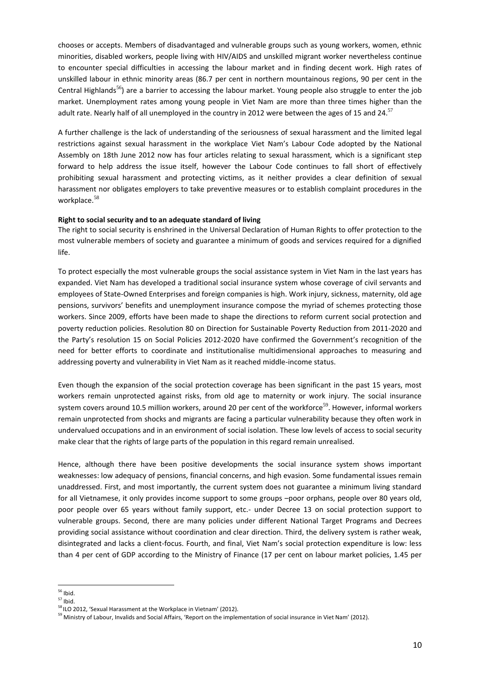chooses or accepts. Members of disadvantaged and vulnerable groups such as young workers, women, ethnic minorities, disabled workers, people living with HIV/AIDS and unskilled migrant worker nevertheless continue to encounter special difficulties in accessing the labour market and in finding decent work. High rates of unskilled labour in ethnic minority areas (86.7 per cent in northern mountainous regions, 90 per cent in the Central Highlands<sup>56</sup>) are a barrier to accessing the labour market. Young people also struggle to enter the job market. Unemployment rates among young people in Viet Nam are more than three times higher than the adult rate. Nearly half of all unemployed in the country in 2012 were between the ages of 15 and 24.<sup>57</sup>

A further challenge is the lack of understanding of the seriousness of sexual harassment and the limited legal restrictions against sexual harassment in the workplace Viet Nam's Labour Code adopted by the National Assembly on 18th June 2012 now has four articles relating to sexual harassment*,* which is a significant step forward to help address the issue itself, however the Labour Code continues to fall short of effectively prohibiting sexual harassment and protecting victims, as it neither provides a clear definition of sexual harassment nor obligates employers to take preventive measures or to establish complaint procedures in the workplace.<sup>58</sup>

### **Right to social security and to an adequate standard of living**

The right to social security is enshrined in the Universal Declaration of Human Rights to offer protection to the most vulnerable members of society and guarantee a minimum of goods and services required for a dignified life.

To protect especially the most vulnerable groups the social assistance system in Viet Nam in the last years has expanded. Viet Nam has developed a traditional social insurance system whose coverage of civil servants and employees of State-Owned Enterprises and foreign companies is high. Work injury, sickness, maternity, old age pensions, survivors' benefits and unemployment insurance compose the myriad of schemes protecting those workers. Since 2009, efforts have been made to shape the directions to reform current social protection and poverty reduction policies. Resolution 80 on Direction for Sustainable Poverty Reduction from 2011-2020 and the Party's resolution 15 on Social Policies 2012-2020 have confirmed the Government's recognition of the need for better efforts to coordinate and institutionalise multidimensional approaches to measuring and addressing poverty and vulnerability in Viet Nam as it reached middle-income status.

Even though the expansion of the social protection coverage has been significant in the past 15 years, most workers remain unprotected against risks, from old age to maternity or work injury. The social insurance system covers around 10.5 million workers, around 20 per cent of the workforce<sup>59</sup>. However, informal workers remain unprotected from shocks and migrants are facing a particular vulnerability because they often work in undervalued occupations and in an environment of social isolation. These low levels of access to social security make clear that the rights of large parts of the population in this regard remain unrealised.

Hence, although there have been positive developments the social insurance system shows important weaknesses: low adequacy of pensions, financial concerns, and high evasion. Some fundamental issues remain unaddressed. First, and most importantly, the current system does not guarantee a minimum living standard for all Vietnamese, it only provides income support to some groups –poor orphans, people over 80 years old, poor people over 65 years without family support, etc.- under Decree 13 on social protection support to vulnerable groups. Second, there are many policies under different National Target Programs and Decrees providing social assistance without coordination and clear direction. Third, the delivery system is rather weak, disintegrated and lacks a client-focus. Fourth, and final, Viet Nam's social protection expenditure is low: less than 4 per cent of GDP according to the Ministry of Finance (17 per cent on labour market policies, 1.45 per

<sup>1</sup>  $56$  Ibid.

<sup>57</sup> Ibid.

<sup>&</sup>lt;sup>58</sup> ILO 2012, 'Sexual Harassment at the Workplace in Vietnam' (2012).

<sup>&</sup>lt;sup>59</sup> Ministry of Labour, Invalids and Social Affairs, 'Report on the implementation of social insurance in Viet Nam' (2012).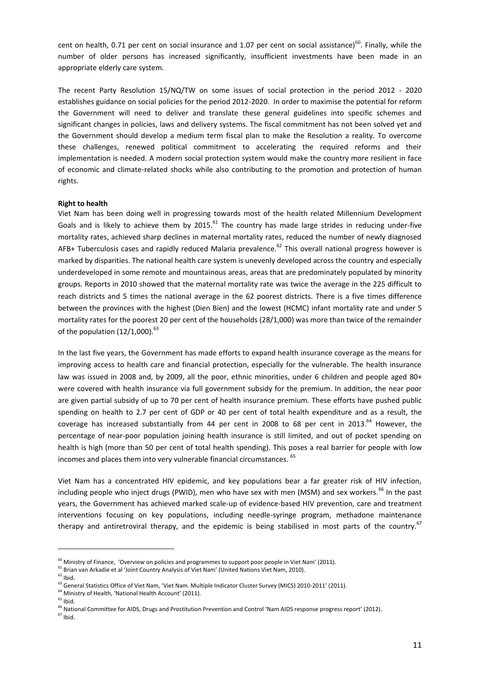cent on health, 0.71 per cent on social insurance and 1.07 per cent on social assistance)<sup>60</sup>. Finally, while the number of older persons has increased significantly, insufficient investments have been made in an appropriate elderly care system.

The recent Party Resolution 15/NQ/TW on some issues of social protection in the period 2012 - 2020 establishes guidance on social policies for the period 2012-2020. In order to maximise the potential for reform the Government will need to deliver and translate these general guidelines into specific schemes and significant changes in policies, laws and delivery systems. The fiscal commitment has not been solved yet and the Government should develop a medium term fiscal plan to make the Resolution a reality. To overcome these challenges, renewed political commitment to accelerating the required reforms and their implementation is needed. A modern social protection system would make the country more resilient in face of economic and climate-related shocks while also contributing to the promotion and protection of human rights.

### **Right to health**

Viet Nam has been doing well in progressing towards most of the health related Millennium Development Goals and is likely to achieve them by 2015. $^{61}$  The country has made large strides in reducing under-five mortality rates, achieved sharp declines in maternal mortality rates, reduced the number of newly diagnosed AFB+ Tuberculosis cases and rapidly reduced Malaria prevalence.<sup>62</sup> This overall national progress however is marked by disparities. The national health care system is unevenly developed across the country and especially underdeveloped in some remote and mountainous areas, areas that are predominately populated by minority groups. Reports in 2010 showed that the maternal mortality rate was twice the average in the 225 difficult to reach districts and 5 times the national average in the 62 poorest districts. There is a five times difference between the provinces with the highest (Dien Bien) and the lowest (HCMC) infant mortality rate and under 5 mortality rates for the poorest 20 per cent of the households (28/1,000) was more than twice of the remainder of the population  $(12/1,000).$ <sup>63</sup>

In the last five years, the Government has made efforts to expand health insurance coverage as the means for improving access to health care and financial protection, especially for the vulnerable. The health insurance law was issued in 2008 and, by 2009, all the poor, ethnic minorities, under 6 children and people aged 80+ were covered with health insurance via full government subsidy for the premium. In addition, the near poor are given partial subsidy of up to 70 per cent of health insurance premium. These efforts have pushed public spending on health to 2.7 per cent of GDP or 40 per cent of total health expenditure and as a result, the coverage has increased substantially from 44 per cent in 2008 to 68 per cent in 2013.<sup>64</sup> However, the percentage of near-poor population joining health insurance is still limited, and out of pocket spending on health is high (more than 50 per cent of total health spending). This poses a real barrier for people with low incomes and places them into very vulnerable financial circumstances. <sup>65</sup>

Viet Nam has a concentrated HIV epidemic, and key populations bear a far greater risk of HIV infection, including people who inject drugs (PWID), men who have sex with men (MSM) and sex workers.<sup>66</sup> In the past years, the Government has achieved marked scale-up of evidence-based HIV prevention, care and treatment interventions focusing on key populations, including needle-syringe program, methadone maintenance therapy and antiretroviral therapy, and the epidemic is being stabilised in most parts of the country.<sup>67</sup>

 $^{60}$  Ministry of Finance, 'Overview on policies and programmes to support poor people in Viet Nam' (2011).

 $<sup>61</sup>$  Brian van Arkadie et al 'Joint Country Analysis of Viet Nam' (United Nations Viet Nam, 2010).</sup>

 $62$  Ibid.

<sup>&</sup>lt;sup>63</sup> General Statistics Office of Viet Nam, 'Viet Nam. Multiple Indicator Cluster Survey (MICS) 2010-2011' (2011).

<sup>&</sup>lt;sup>64</sup> Ministry of Health, 'National Health Account' (2011).

 $65$  Ibid.

<sup>&</sup>lt;sup>66</sup> National Committee for AIDS, Drugs and Prostitution Prevention and Control 'Nam AIDS response progress report' (2012).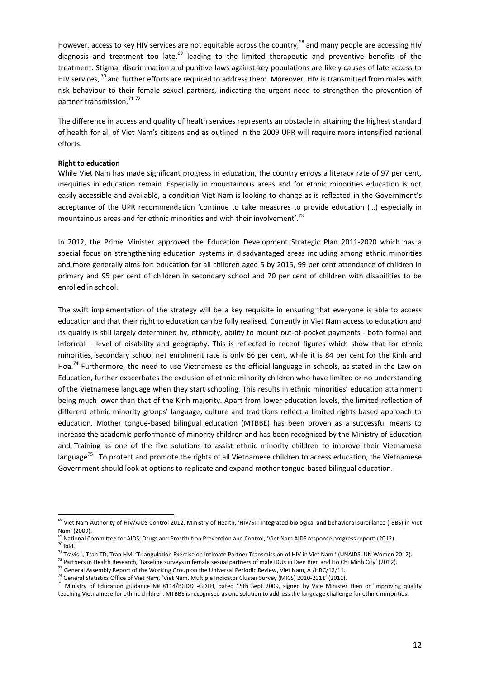However, access to key HIV services are not equitable across the country,<sup>68</sup> and many people are accessing HIV diagnosis and treatment too late, $69$  leading to the limited therapeutic and preventive benefits of the treatment. Stigma, discrimination and punitive laws against key populations are likely causes of late access to HIV services,  $^{70}$  and further efforts are required to address them. Moreover, HIV is transmitted from males with risk behaviour to their female sexual partners, indicating the urgent need to strengthen the prevention of partner transmission.<sup>71</sup>72

The difference in access and quality of health services represents an obstacle in attaining the highest standard of health for all of Viet Nam's citizens and as outlined in the 2009 UPR will require more intensified national efforts.

#### **Right to education**

.

While Viet Nam has made significant progress in education, the country enjoys a literacy rate of 97 per cent, inequities in education remain. Especially in mountainous areas and for ethnic minorities education is not easily accessible and available, a condition Viet Nam is looking to change as is reflected in the Government's acceptance of the UPR recommendation 'continue to take measures to provide education (…) especially in mountainous areas and for ethnic minorities and with their involvement'.<sup>73</sup>

In 2012, the Prime Minister approved the Education Development Strategic Plan 2011-2020 which has a special focus on strengthening education systems in disadvantaged areas including among ethnic minorities and more generally aims for: education for all children aged 5 by 2015, 99 per cent attendance of children in primary and 95 per cent of children in secondary school and 70 per cent of children with disabilities to be enrolled in school.

The swift implementation of the strategy will be a key requisite in ensuring that everyone is able to access education and that their right to education can be fully realised. Currently in Viet Nam access to education and its quality is still largely determined by, ethnicity, ability to mount out-of-pocket payments - both formal and informal – level of disability and geography. This is reflected in recent figures which show that for ethnic minorities, secondary school net enrolment rate is only 66 per cent, while it is 84 per cent for the Kinh and Hoa.<sup>74</sup> Furthermore, the need to use Vietnamese as the official language in schools, as stated in the Law on Education, further exacerbates the exclusion of ethnic minority children who have limited or no understanding of the Vietnamese language when they start schooling. This results in ethnic minorities' education attainment being much lower than that of the Kinh majority. Apart from lower education levels, the limited reflection of different ethnic minority groups' language, culture and traditions reflect a limited rights based approach to education. Mother tongue-based bilingual education (MTBBE) has been proven as a successful means to increase the academic performance of minority children and has been recognised by the Ministry of Education and Training as one of the five solutions to assist ethnic minority children to improve their Vietnamese language<sup>75</sup>. To protect and promote the rights of all Vietnamese children to access education, the Vietnamese Government should look at options to replicate and expand mother tongue-based bilingual education.

<sup>&</sup>lt;sup>68</sup> Viet Nam Authority of HIV/AIDS Control 2012, Ministry of Health, 'HIV/STI Integrated biological and behavioral sureillance (IBBS) in Viet Nam' (2009).

<sup>&</sup>lt;sup>69</sup> National Committee for AIDS, Drugs and Prostitution Prevention and Control, 'Viet Nam AIDS response progress report' (2012).  $70$  Ibid.

<sup>&</sup>lt;sup>71</sup> Travis L, Tran TD, Tran HM, 'Triangulation Exercise on Intimate Partner Transmission of HIV in Viet Nam.' (UNAIDS, UN Women 2012).

 $^{72}$  Partners in Health Research, 'Baseline surveys in female sexual partners of male IDUs in Dien Bien and Ho Chi Minh City' (2012).

<sup>&</sup>lt;sup>73</sup> General Assembly Report of the Working Group on the Universal Periodic Review, Viet Nam, A /HRC/12/11.

 $^{74}$  General Statistics Office of Viet Nam, 'Viet Nam. Multiple Indicator Cluster Survey (MICS) 2010-2011' (2011).

<sup>&</sup>lt;sup>75</sup> Ministry of Education guidance N# 8114/BGDĐT-GDTH, dated 15th Sept 2009, signed by Vice Minister Hien on improving quality teaching Vietnamese for ethnic children. MTBBE is recognised as one solution to address the language challenge for ethnic minorities.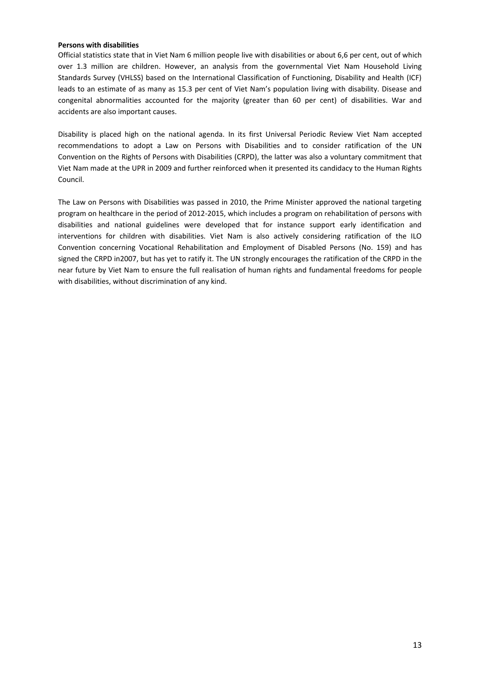### **Persons with disabilities**

Official statistics state that in Viet Nam 6 million people live with disabilities or about 6,6 per cent, out of which over 1.3 million are children. However, an analysis from the governmental Viet Nam Household Living Standards Survey (VHLSS) based on the International Classification of Functioning, Disability and Health (ICF) leads to an estimate of as many as 15.3 per cent of Viet Nam's population living with disability. Disease and congenital abnormalities accounted for the majority (greater than 60 per cent) of disabilities. War and accidents are also important causes.

Disability is placed high on the national agenda. In its first Universal Periodic Review Viet Nam accepted recommendations to adopt a Law on Persons with Disabilities and to consider ratification of the UN Convention on the Rights of Persons with Disabilities (CRPD), the latter was also a voluntary commitment that Viet Nam made at the UPR in 2009 and further reinforced when it presented its candidacy to the Human Rights Council.

The Law on Persons with Disabilities was passed in 2010, the Prime Minister approved the national targeting program on healthcare in the period of 2012-2015, which includes a program on rehabilitation of persons with disabilities and national guidelines were developed that for instance support early identification and interventions for children with disabilities. Viet Nam is also actively considering ratification of the ILO Convention concerning Vocational Rehabilitation and Employment of Disabled Persons (No. 159) and has signed the CRPD in2007, but has yet to ratify it. The UN strongly encourages the ratification of the CRPD in the near future by Viet Nam to ensure the full realisation of human rights and fundamental freedoms for people with disabilities, without discrimination of any kind.